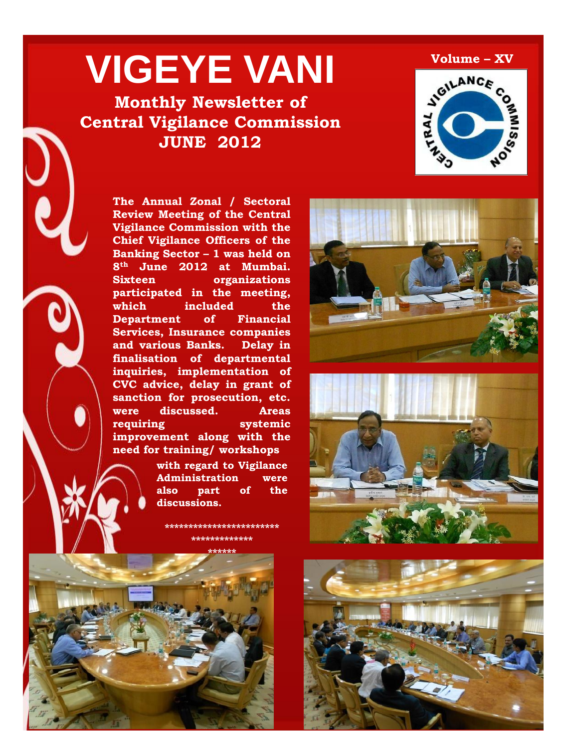# **VIGEYE VANI**

## **Monthly Newsletter of Central Vigilance Commission JUNE 2012**



**The Annual Zonal / Sectoral Review Meeting of the Central Vigilance Commission with the Chief Vigilance Officers of the Banking Sector – 1 was held on 8th June 2012 at Mumbai. Sixteen organizations participated in the meeting, which included the Department of Financial Services, Insurance companies and various Banks. Delay in finalisation of departmental inquiries, implementation of CVC advice, delay in grant of sanction for prosecution, etc. were discussed. Areas requiring systemic improvement along with the need for training/ workshops**

> **with regard to Vigilance Administration were also part of the discussions.**

**\*\*\*\*\*\*\*\*\*\*\*\*\*\*\*\*\*\*\*\*\*\*\*\* \*\*\*\*\*\*\*\*\*\*\*\*\***







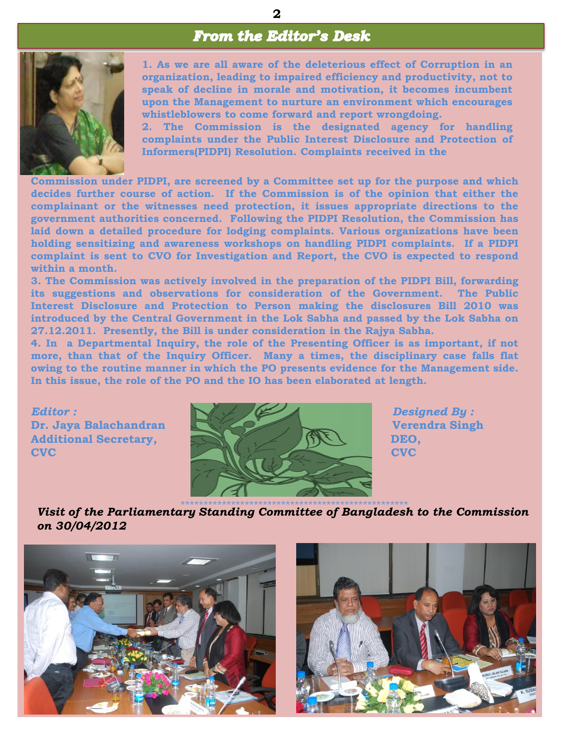## **From the Editor's Desk**



**1. As we are all aware of the deleterious effect of Corruption in an organization, leading to impaired efficiency and productivity, not to speak of decline in morale and motivation, it becomes incumbent upon the Management to nurture an environment which encourages whistleblowers to come forward and report wrongdoing.**

**2. The Commission is the designated agency for handling complaints under the Public Interest Disclosure and Protection of Informers(PIDPI) Resolution. Complaints received in the**

**Commission under PIDPI, are screened by a Committee set up for the purpose and which decides further course of action. If the Commission is of the opinion that either the complainant or the witnesses need protection, it issues appropriate directions to the government authorities concerned. Following the PIDPI Resolution, the Commission has laid down a detailed procedure for lodging complaints. Various organizations have been holding sensitizing and awareness workshops on handling PIDPI complaints. If a PIDPI complaint is sent to CVO for Investigation and Report, the CVO is expected to respond within a month.**

**3. The Commission was actively involved in the preparation of the PIDPI Bill, forwarding its suggestions and observations for consideration of the Government. The Public Interest Disclosure and Protection to Person making the disclosures Bill 2010 was introduced by the Central Government in the Lok Sabha and passed by the Lok Sabha on 27.12.2011. Presently, the Bill is under consideration in the Rajya Sabha.**

**4. In a Departmental Inquiry, the role of the Presenting Officer is as important, if not more, than that of the Inquiry Officer. Many a times, the disciplinary case falls flat owing to the routine manner in which the PO presents evidence for the Management side. In this issue, the role of the PO and the IO has been elaborated at length.**



\*\*\*\*\*\*\*\*\*\*\*\*\*\*\*\*\*\*\*\*\*\*\*\*\*\*\*\*\*\*\*\*\*\*\*\*\*\*\*\*\*\*\*\*\*\*\*\*\*\* *Visit of the Parliamentary Standing Committee of Bangladesh to the Commission on 30/04/2012*



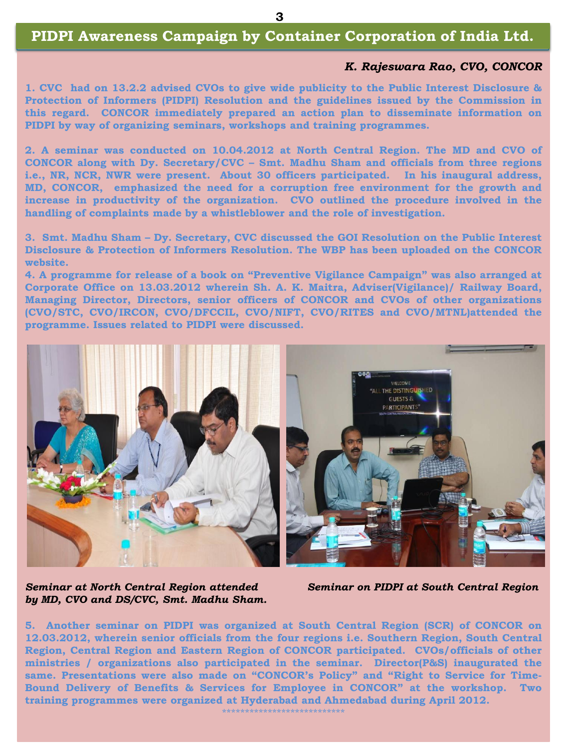## **Need for streaming the CVO's selection and appointment process PIDPI Awareness Campaign by Container Corporation of India Ltd.**

#### *A. N. Prashad, IFS, CVO, NPCC K. Rajeswara Rao, CVO, CONCOR*

**1. CVC had on 13.2.2 advised CVOs to give wide publicity to the Public Interest Disclosure & Protection of Informers (PIDPI) Resolution and the guidelines issued by the Commission in this regard. CONCOR immediately prepared an action plan to disseminate information on PIDPI by way of organizing seminars, workshops and training programmes.**

**2. A seminar was conducted on 10.04.2012 at North Central Region. The MD and CVO of CONCOR along with Dy. Secretary/CVC – Smt. Madhu Sham and officials from three regions i.e., NR, NCR, NWR were present. About 30 officers participated. In his inaugural address, MD, CONCOR, emphasized the need for a corruption free environment for the growth and increase in productivity of the organization. CVO outlined the procedure involved in the handling of complaints made by a whistleblower and the role of investigation.**

**3. Smt. Madhu Sham – Dy. Secretary, CVC discussed the GOI Resolution on the Public Interest Disclosure & Protection of Informers Resolution. The WBP has been uploaded on the CONCOR website.**

**4. A programme for release of a book on "Preventive Vigilance Campaign" was also arranged at Corporate Office on 13.03.2012 wherein Sh. A. K. Maitra, Adviser(Vigilance)/ Railway Board, Managing Director, Directors, senior officers of CONCOR and CVOs of other organizations (CVO/STC, CVO/IRCON, CVO/DFCCIL, CVO/NIFT, CVO/RITES and CVO/MTNL)attended the programme. Issues related to PIDPI were discussed.**



*by MD, CVO and DS/CVC, Smt. Madhu Sham.*

*Seminar at North Central Region attended Seminar on PIDPI at South Central Region*

**5. Another seminar on PIDPI was organized at South Central Region (SCR) of CONCOR on 12.03.2012, wherein senior officials from the four regions i.e. Southern Region, South Central Region, Central Region and Eastern Region of CONCOR participated. CVOs/officials of other ministries / organizations also participated in the seminar. Director(P&S) inaugurated the same. Presentations were also made on "CONCOR"s Policy" and "Right to Service for Time-Bound Delivery of Benefits & Services for Employee in CONCOR" at the workshop. Two training programmes were organized at Hyderabad and Ahmedabad during April 2012.**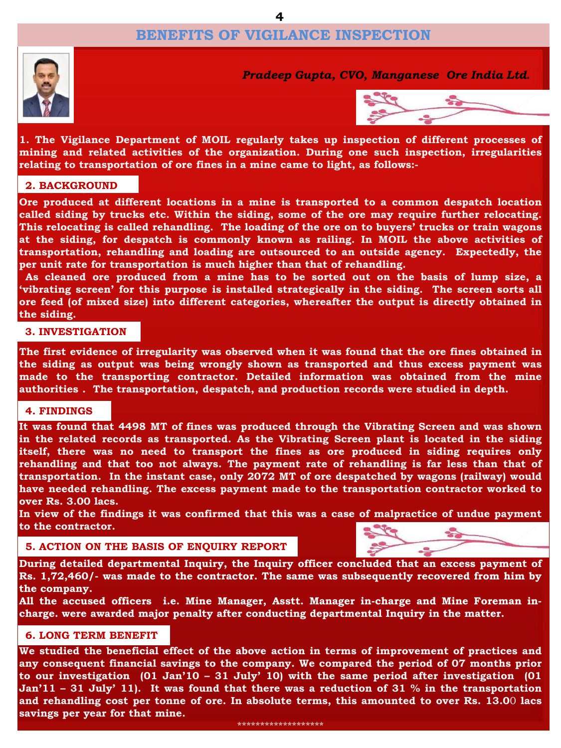## **BENEFITS OF VIGILANCE INSPECTION**



*Pradeep Gupta, CVO, Manganese Ore India Ltd.*



**1. The Vigilance Department of MOIL regularly takes up inspection of different processes of mining and related activities of the organization. During one such inspection, irregularities relating to transportation of ore fines in a mine came to light, as follows:-**

## **2. BACKGROUND 2. BACKGROUND**

**Ore produced at different locations in a mine is transported to a common despatch location called siding by trucks etc. Within the siding, some of the ore may require further relocating. This relocating is called rehandling. The loading of the ore on to buyers" trucks or train wagons at the siding, for despatch is commonly known as railing. In MOIL the above activities of transportation, rehandling and loading are outsourced to an outside agency. Expectedly, the per unit rate for transportation is much higher than that of rehandling.**

**As cleaned ore produced from a mine has to be sorted out on the basis of lump size, a "vibrating screen" for this purpose is installed strategically in the siding. The screen sorts all ore feed (of mixed size) into different categories, whereafter the output is directly obtained in the siding.**

#### **3. INVESTIGATION**

**The first evidence of irregularity was observed when it was found that the ore fines obtained in the siding as output was being wrongly shown as transported and thus excess payment was made to the transporting contractor. Detailed information was obtained from the mine authorities . The transportation, despatch, and production records were studied in depth.**

#### **4. FINDINGS**

**It was found that 4498 MT of fines was produced through the Vibrating Screen and was shown in the related records as transported. As the Vibrating Screen plant is located in the siding itself, there was no need to transport the fines as ore produced in siding requires only rehandling and that too not always. The payment rate of rehandling is far less than that of transportation. In the instant case, only 2072 MT of ore despatched by wagons (railway) would have needed rehandling. The excess payment made to the transportation contractor worked to over Rs. 3.00 lacs.**

**In view of the findings it was confirmed that this was a case of malpractice of undue payment to the contractor.**

#### **5. ACTION ON THE BASIS OF ENQUIRY REPORT**



**During detailed departmental Inquiry, the Inquiry officer concluded that an excess payment of Rs. 1,72,460/- was made to the contractor. The same was subsequently recovered from him by the company.**

**All the accused officers i.e. Mine Manager, Asstt. Manager in-charge and Mine Foreman incharge. were awarded major penalty after conducting departmental Inquiry in the matter.**

#### **6. LONG TERM BENEFIT**

**We studied the beneficial effect of the above action in terms of improvement of practices and any consequent financial savings to the company. We compared the period of 07 months prior to our investigation (01 Jan"10 – 31 July" 10) with the same period after investigation (01** Jan'11 - 31 July' 11). It was found that there was a reduction of 31 % in the transportation **and rehandling cost per tonne of ore. In absolute terms, this amounted to over Rs. 13.0**0 **lacs savings per year for that mine.**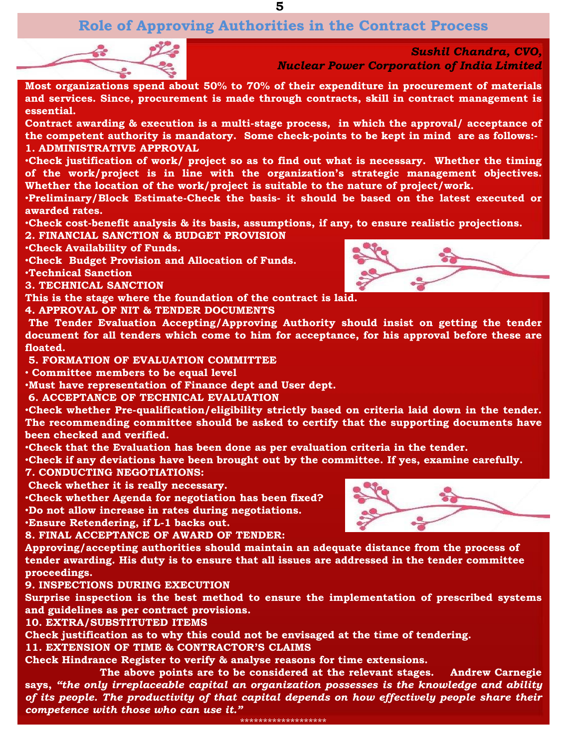**5**

## **Role of Approving Authorities in the Contract Process**



*Sushil Chandra, CVO, Nuclear Power Corporation of India Limited*

**Most organizations spend about 50% to 70% of their expenditure in procurement of materials and services. Since, procurement is made through contracts, skill in contract management is essential.**

**Contract awarding & execution is a multi-stage process, in which the approval/ acceptance of the competent authority is mandatory. Some check-points to be kept in mind are as follows:- 1. ADMINISTRATIVE APPROVAL**

•**Check justification of work/ project so as to find out what is necessary. Whether the timing of the work/project is in line with the organization"s strategic management objectives. Whether the location of the work/project is suitable to the nature of project/work.**

•**Preliminary/Block Estimate-Check the basis- it should be based on the latest executed or awarded rates.**

•**Check cost-benefit analysis & its basis, assumptions, if any, to ensure realistic projections. 2. FINANCIAL SANCTION & BUDGET PROVISION**

•**Check Availability of Funds.**

•**Check Budget Provision and Allocation of Funds.**

•**Technical Sanction**

**3. TECHNICAL SANCTION**

**This is the stage where the foundation of the contract is laid.**

**4. APPROVAL OF NIT & TENDER DOCUMENTS**

**The Tender Evaluation Accepting/Approving Authority should insist on getting the tender document for all tenders which come to him for acceptance, for his approval before these are floated.**

**5. FORMATION OF EVALUATION COMMITTEE**

• **Committee members to be equal level**

•**Must have representation of Finance dept and User dept.**

**6. ACCEPTANCE OF TECHNICAL EVALUATION**

•**Check whether Pre-qualification/eligibility strictly based on criteria laid down in the tender. The recommending committee should be asked to certify that the supporting documents have been checked and verified.**

•**Check that the Evaluation has been done as per evaluation criteria in the tender.**

•**Check if any deviations have been brought out by the committee. If yes, examine carefully. 7. CONDUCTING NEGOTIATIONS:** 

**Check whether it is really necessary.**

•**Check whether Agenda for negotiation has been fixed?** •**Do not allow increase in rates during negotiations.** •**Ensure Retendering, if L-1 backs out.**

**8. FINAL ACCEPTANCE OF AWARD OF TENDER:** 

**Approving/accepting authorities should maintain an adequate distance from the process of tender awarding. His duty is to ensure that all issues are addressed in the tender committee proceedings.**

**9. INSPECTIONS DURING EXECUTION**

**Surprise inspection is the best method to ensure the implementation of prescribed systems and guidelines as per contract provisions.**

**10. EXTRA/SUBSTITUTED ITEMS**

**Check justification as to why this could not be envisaged at the time of tendering.**

**11. EXTENSION OF TIME & CONTRACTOR"S CLAIMS**

**Check Hindrance Register to verify & analyse reasons for time extensions.**

**The above points are to be considered at the relevant stages. Andrew Carnegie says,** *"the only irreplaceable capital an organization possesses is the knowledge and ability of its people. The productivity of that capital depends on how effectively people share their competence with those who can use it."*

\*\*\*\*\*\*\*\*\*\*\*\*\*\*\*\*\*\*\*



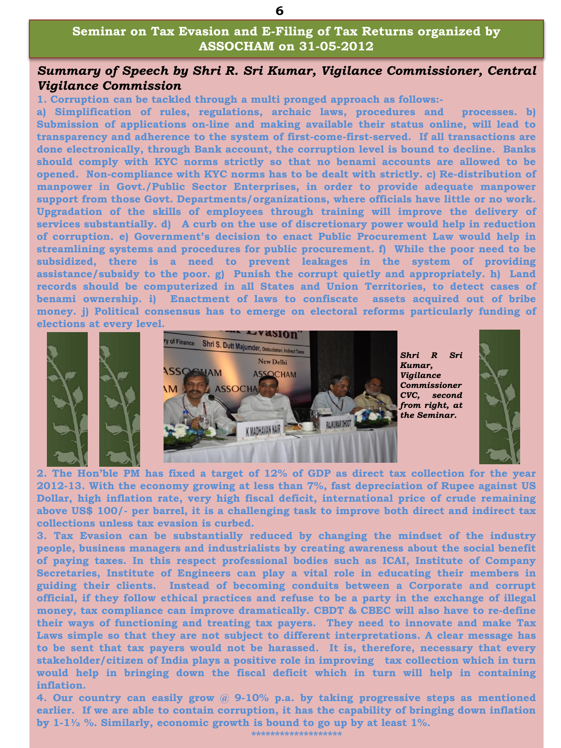#### **Seminar on Tax Evasion and E-Filing of Tax Returns organized by ASSOCHAM on 31-05-2012**

#### *Summary of Speech by Shri R. Sri Kumar, Vigilance Commissioner, Central Vigilance Commission*

**1. Corruption can be tackled through a multi pronged approach as follows:-**

**a) Simplification of rules, regulations, archaic laws, procedures and processes. b) Submission of applications on-line and making available their status online, will lead to transparency and adherence to the system of first-come-first-served. If all transactions are done electronically, through Bank account, the corruption level is bound to decline. Banks should comply with KYC norms strictly so that no benami accounts are allowed to be opened. Non-compliance with KYC norms has to be dealt with strictly. c) Re-distribution of manpower in Govt./Public Sector Enterprises, in order to provide adequate manpower support from those Govt. Departments/organizations, where officials have little or no work. Upgradation of the skills of employees through training will improve the delivery of services substantially. d) A curb on the use of discretionary power would help in reduction of corruption. e) Government"s decision to enact Public Procurement Law would help in streamlining systems and procedures for public procurement. f) While the poor need to be subsidized, there is a need to prevent leakages in the system of providing assistance/subsidy to the poor. g) Punish the corrupt quietly and appropriately. h) Land records should be computerized in all States and Union Territories, to detect cases of benami ownership. i) Enactment of laws to confiscate assets acquired out of bribe money. j) Political consensus has to emerge on electoral reforms particularly funding of elections at every level.**



**2. The Hon"ble PM has fixed a target of 12% of GDP as direct tax collection for the year 2012-13. With the economy growing at less than 7%, fast depreciation of Rupee against US Dollar, high inflation rate, very high fiscal deficit, international price of crude remaining above US\$ 100/- per barrel, it is a challenging task to improve both direct and indirect tax collections unless tax evasion is curbed.**

**3. Tax Evasion can be substantially reduced by changing the mindset of the industry people, business managers and industrialists by creating awareness about the social benefit of paying taxes. In this respect professional bodies such as ICAI, Institute of Company Secretaries, Institute of Engineers can play a vital role in educating their members in guiding their clients. Instead of becoming conduits between a Corporate and corrupt official, if they follow ethical practices and refuse to be a party in the exchange of illegal money, tax compliance can improve dramatically. CBDT & CBEC will also have to re-define their ways of functioning and treating tax payers. They need to innovate and make Tax Laws simple so that they are not subject to different interpretations. A clear message has to be sent that tax payers would not be harassed. It is, therefore, necessary that every stakeholder/citizen of India plays a positive role in improving tax collection which in turn would help in bringing down the fiscal deficit which in turn will help in containing inflation.**

**4. Our country can easily grow @ 9-10% p.a. by taking progressive steps as mentioned earlier. If we are able to contain corruption, it has the capability of bringing down inflation by 1-1½ %. Similarly, economic growth is bound to go up by at least 1%.**

**\*\*\*\*\*\*\*\*\*\*\*\*\*\*\*\*\*\*\***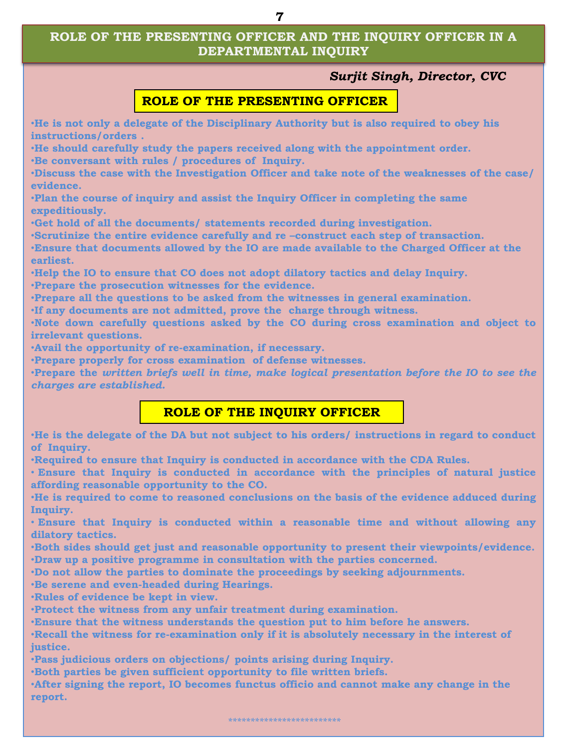#### **ROLE OF THE PRESENTING OFFICER AND THE INQUIRY OFFICER IN A DEPARTMENTAL INQUIRY**

#### *Surjit Singh, Director, CVC*

#### **ROLE OF THE PRESENTING OFFICER**

•**He is not only a delegate of the Disciplinary Authority but is also required to obey his instructions/orders .**

•**He should carefully study the papers received along with the appointment order.** •**Be conversant with rules / procedures of Inquiry.**

•**Discuss the case with the Investigation Officer and take note of the weaknesses of the case/ evidence.**

•**Plan the course of inquiry and assist the Inquiry Officer in completing the same expeditiously.**

•**Get hold of all the documents/ statements recorded during investigation.** 

•**Scrutinize the entire evidence carefully and re –construct each step of transaction.**

•**Ensure that documents allowed by the IO are made available to the Charged Officer at the earliest.**

•**Help the IO to ensure that CO does not adopt dilatory tactics and delay Inquiry.**

•**Prepare the prosecution witnesses for the evidence.**

•**Prepare all the questions to be asked from the witnesses in general examination.**

•**If any documents are not admitted, prove the charge through witness.**

•**Note down carefully questions asked by the CO during cross examination and object to irrelevant questions.**

•**Avail the opportunity of re-examination, if necessary.**

•**Prepare properly for cross examination of defense witnesses.**

•**Prepare the** *written briefs well in time, make logical presentation before the IO to see the charges are established.*

### **ROLE OF THE INQUIRY OFFICER**

•**He is the delegate of the DA but not subject to his orders/ instructions in regard to conduct of Inquiry.**

•**Required to ensure that Inquiry is conducted in accordance with the CDA Rules.**

• **Ensure that Inquiry is conducted in accordance with the principles of natural justice affording reasonable opportunity to the CO.**

•**He is required to come to reasoned conclusions on the basis of the evidence adduced during Inquiry.**

• **Ensure that Inquiry is conducted within a reasonable time and without allowing any dilatory tactics.**

•**Both sides should get just and reasonable opportunity to present their viewpoints/evidence.** •**Draw up a positive programme in consultation with the parties concerned.** 

•**Do not allow the parties to dominate the proceedings by seeking adjournments.** 

•**Be serene and even-headed during Hearings.** 

•**Rules of evidence be kept in view.**

•**Protect the witness from any unfair treatment during examination.**

•**Ensure that the witness understands the question put to him before he answers.**

•**Recall the witness for re-examination only if it is absolutely necessary in the interest of justice.** 

•**Pass judicious orders on objections/ points arising during Inquiry.** 

•**Both parties be given sufficient opportunity to file written briefs.**

•**After signing the report, IO becomes functus officio and cannot make any change in the report.**